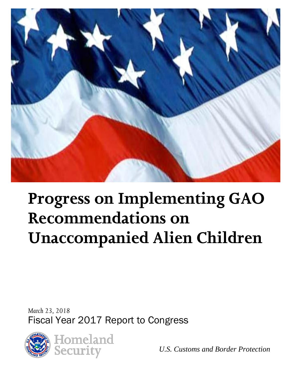

# **Progress on Implementing GAO Recommendations on Unaccompanied Alien Children**

*March 23, 2018* Fiscal Year 2017 Report to Congress



*U.S. Customs and Border Protection*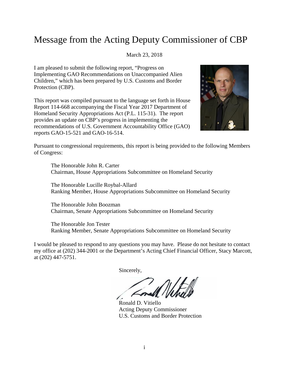#### Message from the Acting Deputy Commissioner of CBP

#### March 23, 2018

I am pleased to submit the following report, "Progress on Implementing GAO Recommendations on Unaccompanied Alien Children," which has been prepared by U.S. Customs and Border Protection (CBP).

This report was compiled pursuant to the language set forth in House Report 114-668 accompanying the Fiscal Year 2017 Department of Homeland Security Appropriations Act (P.L. 115-31). The report provides an update on CBP's progress in implementing the recommendations of U.S. Government Accountability Office (GAO) reports GAO-15-521 and GAO-16-514.



Pursuant to congressional requirements, this report is being provided to the following Members of Congress:

The Honorable John R. Carter Chairman, House Appropriations Subcommittee on Homeland Security

The Honorable Lucille Roybal-Allard Ranking Member, House Appropriations Subcommittee on Homeland Security

The Honorable John Boozman Chairman, Senate Appropriations Subcommittee on Homeland Security

The Honorable Jon Tester Ranking Member, Senate Appropriations Subcommittee on Homeland Security

I would be pleased to respond to any questions you may have. Please do not hesitate to contact my office at (202) 344-2001 or the Department's Acting Chief Financial Officer, Stacy Marcott, at (202) 447-5751.

Sincerely,

Ronald D. Vitiello Acting Deputy Commissioner U.S. Customs and Border Protection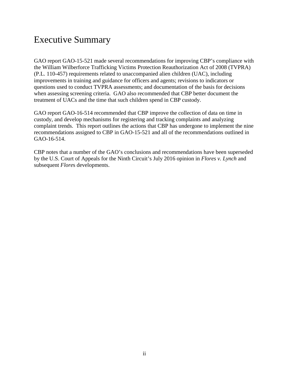#### Executive Summary

GAO report GAO-15-521 made several recommendations for improving CBP's compliance with the William Wilberforce Trafficking Victims Protection Reauthorization Act of 2008 (TVPRA) (P.L. 110-457) requirements related to unaccompanied alien children (UAC), including improvements in training and guidance for officers and agents; revisions to indicators or questions used to conduct TVPRA assessments; and documentation of the basis for decisions when assessing screening criteria. GAO also recommended that CBP better document the treatment of UACs and the time that such children spend in CBP custody.

GAO report GAO-16-514 recommended that CBP improve the collection of data on time in custody, and develop mechanisms for registering and tracking complaints and analyzing complaint trends. This report outlines the actions that CBP has undergone to implement the nine recommendations assigned to CBP in GAO-15-521 and all of the recommendations outlined in GAO-16-514.

CBP notes that a number of the GAO's conclusions and recommendations have been superseded by the U.S. Court of Appeals for the Ninth Circuit's July 2016 opinion in *Flores v. Lynch* and subsequent *Flore*s developments.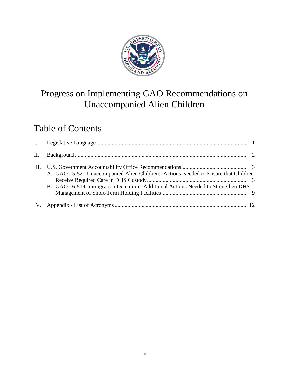

### Progress on Implementing GAO Recommendations on Unaccompanied Alien Children

#### Table of Contents

| II. |                                                                                                                                                                        |  |
|-----|------------------------------------------------------------------------------------------------------------------------------------------------------------------------|--|
|     | A. GAO-15-521 Unaccompanied Alien Children: Actions Needed to Ensure that Children<br>B. GAO-16-514 Immigration Detention: Additional Actions Needed to Strengthen DHS |  |
|     |                                                                                                                                                                        |  |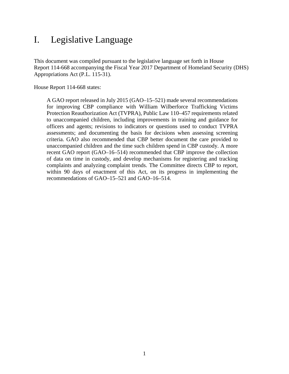#### <span id="page-4-0"></span>I. Legislative Language

This document was compiled pursuant to the legislative language set forth in House Report 114-668 accompanying the Fiscal Year 2017 Department of Homeland Security (DHS) Appropriations Act (P.L. 115-31).

House Report 114-668 states:

A GAO report released in July 2015 (GAO–15–521) made several recommendations for improving CBP compliance with William Wilberforce Trafficking Victims Protection Reauthorization Act (TVPRA), Public Law 110–457 requirements related to unaccompanied children, including improvements in training and guidance for officers and agents; revisions to indicators or questions used to conduct TVPRA assessments; and documenting the basis for decisions when assessing screening criteria. GAO also recommended that CBP better document the care provided to unaccompanied children and the time such children spend in CBP custody. A more recent GAO report (GAO–16–514) recommended that CBP improve the collection of data on time in custody, and develop mechanisms for registering and tracking complaints and analyzing complaint trends. The Committee directs CBP to report, within 90 days of enactment of this Act, on its progress in implementing the recommendations of GAO–15–521 and GAO–16–514.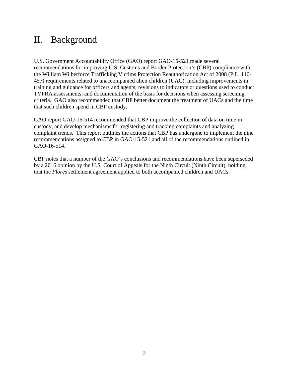#### <span id="page-5-0"></span>II. Background

U.S. Government Accountability Office (GAO) report GAO-15-521 made several recommendations for improving U.S. Customs and Border Protection's (CBP) compliance with the William Wilberforce Trafficking Victims Protection Reauthorization Act of 2008 (P.L. 110- 457) requirements related to unaccompanied alien children (UAC), including improvements in training and guidance for officers and agents; revisions to indicators or questions used to conduct TVPRA assessments; and documentation of the basis for decisions when assessing screening criteria. GAO also recommended that CBP better document the treatment of UACs and the time that such children spend in CBP custody.

GAO report GAO-16-514 recommended that CBP improve the collection of data on time in custody, and develop mechanisms for registering and tracking complaints and analyzing complaint trends. This report outlines the actions that CBP has undergone to implement the nine recommendations assigned to CBP in GAO-15-521 and all of the recommendations outlined in GAO-16-514.

CBP notes that a number of the GAO's conclusions and recommendations have been superseded by a 2016 opinion by the U.S. Court of Appeals for the Ninth Circuit (Ninth Circuit), holding that the *Flores* settlement agreement applied to both accompanied children and UACs.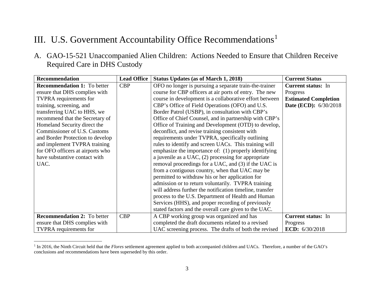#### <span id="page-6-2"></span>III. U.S. Government Accountability Office Recommendations<sup>[1](#page-6-2)</sup>

A. GAO-15-521 Unaccompanied Alien Children: Actions Needed to Ensure that Children Receive Required Care in DHS Custody

<span id="page-6-1"></span><span id="page-6-0"></span>

| <b>Recommendation</b>              | <b>Lead Office</b> | <b>Status Updates (as of March 1, 2018)</b>              | <b>Current Status</b>        |
|------------------------------------|--------------------|----------------------------------------------------------|------------------------------|
| <b>Recommendation 1:</b> To better | <b>CBP</b>         | OFO no longer is pursuing a separate train-the-trainer   | <b>Current status:</b> In    |
| ensure that DHS complies with      |                    | course for CBP officers at air ports of entry. The new   | Progress                     |
| <b>TVPRA</b> requirements for      |                    | course in development is a collaborative effort between  | <b>Estimated Completion</b>  |
| training, screening, and           |                    | CBP's Office of Field Operations (OFO) and U.S.          | <b>Date (ECD): 6/30/2018</b> |
| transferring UAC to HHS, we        |                    | Border Patrol (USBP), in consultation with CBP's         |                              |
| recommend that the Secretary of    |                    | Office of Chief Counsel, and in partnership with CBP's   |                              |
| Homeland Security direct the       |                    | Office of Training and Development (OTD) to develop,     |                              |
| Commissioner of U.S. Customs       |                    | deconflict, and revise training consistent with          |                              |
| and Border Protection to develop   |                    | requirements under TVPRA, specifically outlining         |                              |
| and implement TVPRA training       |                    | rules to identify and screen UACs. This training will    |                              |
| for OFO officers at airports who   |                    | emphasize the importance of: (1) properly identifying    |                              |
| have substantive contact with      |                    | a juvenile as a UAC, $(2)$ processing for appropriate    |                              |
| UAC.                               |                    | removal proceedings for a UAC, and (3) if the UAC is     |                              |
|                                    |                    | from a contiguous country, when that UAC may be          |                              |
|                                    |                    | permitted to withdraw his or her application for         |                              |
|                                    |                    | admission or to return voluntarily. TVPRA training       |                              |
|                                    |                    | will address further the notification timeline, transfer |                              |
|                                    |                    | process to the U.S. Department of Health and Human       |                              |
|                                    |                    | Services (HHS), and proper recording of previously       |                              |
|                                    |                    | stated factors and the overall care given to the UAC.    |                              |
| <b>Recommendation 2:</b> To better | <b>CBP</b>         | A CBP working group was organized and has                | Current status: In           |
| ensure that DHS complies with      |                    | completed the draft documents related to a revised       | Progress                     |
| <b>TVPRA</b> requirements for      |                    | UAC screening process. The drafts of both the revised    | ECD: 6/30/2018               |

<sup>&</sup>lt;sup>1</sup> In 2016, the Ninth Circuit held that the *Flores* settlement agreement applied to both accompanied children and UACs. Therefore, a number of the GAO's conclusions and recommendations have been superseded by this order.

 $\overline{a}$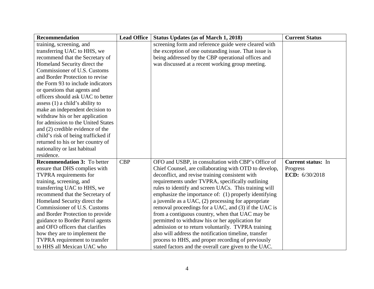| Recommendation                      | <b>Lead Office</b> | <b>Status Updates (as of March 1, 2018)</b>           | <b>Current Status</b>     |
|-------------------------------------|--------------------|-------------------------------------------------------|---------------------------|
| training, screening, and            |                    | screening form and reference guide were cleared with  |                           |
| transferring UAC to HHS, we         |                    | the exception of one outstanding issue. That issue is |                           |
| recommend that the Secretary of     |                    | being addressed by the CBP operational offices and    |                           |
| Homeland Security direct the        |                    | was discussed at a recent working group meeting.      |                           |
| Commissioner of U.S. Customs        |                    |                                                       |                           |
| and Border Protection to revise     |                    |                                                       |                           |
| the Form 93 to include indicators   |                    |                                                       |                           |
| or questions that agents and        |                    |                                                       |                           |
| officers should ask UAC to better   |                    |                                                       |                           |
| assess $(1)$ a child's ability to   |                    |                                                       |                           |
| make an independent decision to     |                    |                                                       |                           |
| withdraw his or her application     |                    |                                                       |                           |
| for admission to the United States  |                    |                                                       |                           |
| and (2) credible evidence of the    |                    |                                                       |                           |
| child's risk of being trafficked if |                    |                                                       |                           |
| returned to his or her country of   |                    |                                                       |                           |
| nationality or last habitual        |                    |                                                       |                           |
| residence.                          |                    |                                                       |                           |
| <b>Recommendation 3:</b> To better  | <b>CBP</b>         | OFO and USBP, in consultation with CBP's Office of    | <b>Current status: In</b> |
| ensure that DHS complies with       |                    | Chief Counsel, are collaborating with OTD to develop, | Progress                  |
| <b>TVPRA</b> requirements for       |                    | deconflict, and revise training consistent with       | ECD: 6/30/2018            |
| training, screening, and            |                    | requirements under TVPRA, specifically outlining      |                           |
| transferring UAC to HHS, we         |                    | rules to identify and screen UACs. This training will |                           |
| recommend that the Secretary of     |                    | emphasize the importance of: (1) properly identifying |                           |
| Homeland Security direct the        |                    | a juvenile as a UAC, $(2)$ processing for appropriate |                           |
| Commissioner of U.S. Customs        |                    | removal proceedings for a UAC, and (3) if the UAC is  |                           |
| and Border Protection to provide    |                    | from a contiguous country, when that UAC may be       |                           |
| guidance to Border Patrol agents    |                    | permitted to withdraw his or her application for      |                           |
| and OFO officers that clarifies     |                    | admission or to return voluntarily. TVPRA training    |                           |
| how they are to implement the       |                    | also will address the notification timeline, transfer |                           |
| TVPRA requirement to transfer       |                    | process to HHS, and proper recording of previously    |                           |
| to HHS all Mexican UAC who          |                    | stated factors and the overall care given to the UAC. |                           |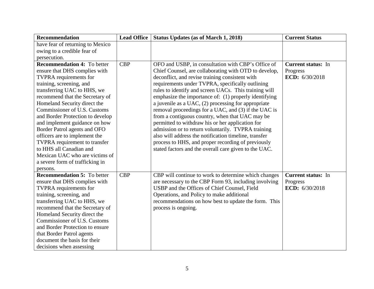| <b>Recommendation</b>              | <b>Lead Office</b> | <b>Status Updates (as of March 1, 2018)</b>           | <b>Current Status</b>     |
|------------------------------------|--------------------|-------------------------------------------------------|---------------------------|
| have fear of returning to Mexico   |                    |                                                       |                           |
| owing to a credible fear of        |                    |                                                       |                           |
| persecution.                       |                    |                                                       |                           |
| <b>Recommendation 4: To better</b> | <b>CBP</b>         | OFO and USBP, in consultation with CBP's Office of    | <b>Current status: In</b> |
| ensure that DHS complies with      |                    | Chief Counsel, are collaborating with OTD to develop, | Progress                  |
| <b>TVPRA</b> requirements for      |                    | deconflict, and revise training consistent with       | ECD: 6/30/2018            |
| training, screening, and           |                    | requirements under TVPRA, specifically outlining      |                           |
| transferring UAC to HHS, we        |                    | rules to identify and screen UACs. This training will |                           |
| recommend that the Secretary of    |                    | emphasize the importance of: (1) properly identifying |                           |
| Homeland Security direct the       |                    | a juvenile as a UAC, $(2)$ processing for appropriate |                           |
| Commissioner of U.S. Customs       |                    | removal proceedings for a UAC, and (3) if the UAC is  |                           |
| and Border Protection to develop   |                    | from a contiguous country, when that UAC may be       |                           |
| and implement guidance on how      |                    | permitted to withdraw his or her application for      |                           |
| Border Patrol agents and OFO       |                    | admission or to return voluntarily. TVPRA training    |                           |
| officers are to implement the      |                    | also will address the notification timeline, transfer |                           |
| TVPRA requirement to transfer      |                    | process to HHS, and proper recording of previously    |                           |
| to HHS all Canadian and            |                    | stated factors and the overall care given to the UAC. |                           |
| Mexican UAC who are victims of     |                    |                                                       |                           |
| a severe form of trafficking in    |                    |                                                       |                           |
| persons.                           |                    |                                                       |                           |
| <b>Recommendation 5:</b> To better | <b>CBP</b>         | CBP will continue to work to determine which changes  | <b>Current status: In</b> |
| ensure that DHS complies with      |                    | are necessary to the CBP Form 93, including involving | Progress                  |
| <b>TVPRA</b> requirements for      |                    | USBP and the Offices of Chief Counsel, Field          | ECD: 6/30/2018            |
| training, screening, and           |                    | Operations, and Policy to make additional             |                           |
| transferring UAC to HHS, we        |                    | recommendations on how best to update the form. This  |                           |
| recommend that the Secretary of    |                    | process is ongoing.                                   |                           |
| Homeland Security direct the       |                    |                                                       |                           |
| Commissioner of U.S. Customs       |                    |                                                       |                           |
| and Border Protection to ensure    |                    |                                                       |                           |
| that Border Patrol agents          |                    |                                                       |                           |
| document the basis for their       |                    |                                                       |                           |
| decisions when assessing           |                    |                                                       |                           |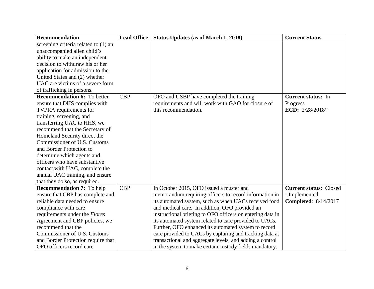| Recommendation                       | <b>Lead Office</b> | <b>Status Updates (as of March 1, 2018)</b>                | <b>Current Status</b>         |
|--------------------------------------|--------------------|------------------------------------------------------------|-------------------------------|
| screening criteria related to (1) an |                    |                                                            |                               |
| unaccompanied alien child's          |                    |                                                            |                               |
| ability to make an independent       |                    |                                                            |                               |
| decision to withdraw his or her      |                    |                                                            |                               |
| application for admission to the     |                    |                                                            |                               |
| United States and (2) whether        |                    |                                                            |                               |
| UAC are victims of a severe form     |                    |                                                            |                               |
| of trafficking in persons.           |                    |                                                            |                               |
| <b>Recommendation 6:</b> To better   | <b>CBP</b>         | OFO and USBP have completed the training                   | <b>Current status: In</b>     |
| ensure that DHS complies with        |                    | requirements and will work with GAO for closure of         | Progress                      |
| TVPRA requirements for               |                    | this recommendation.                                       | ECD: $2/28/2018*$             |
| training, screening, and             |                    |                                                            |                               |
| transferring UAC to HHS, we          |                    |                                                            |                               |
| recommend that the Secretary of      |                    |                                                            |                               |
| Homeland Security direct the         |                    |                                                            |                               |
| Commissioner of U.S. Customs         |                    |                                                            |                               |
| and Border Protection to             |                    |                                                            |                               |
| determine which agents and           |                    |                                                            |                               |
| officers who have substantive        |                    |                                                            |                               |
| contact with UAC, complete the       |                    |                                                            |                               |
| annual UAC training, and ensure      |                    |                                                            |                               |
| that they do so, as required.        |                    |                                                            |                               |
| <b>Recommendation 7:</b> To help     | <b>CBP</b>         | In October 2015, OFO issued a muster and                   | <b>Current status: Closed</b> |
| ensure that CBP has complete and     |                    | memorandum requiring officers to record information in     | - Implemented                 |
| reliable data needed to ensure       |                    | its automated system, such as when UACs received food      | <b>Completed: 8/14/2017</b>   |
| compliance with care                 |                    | and medical care. In addition, OFO provided an             |                               |
| requirements under the Flores        |                    | instructional briefing to OFO officers on entering data in |                               |
| Agreement and CBP policies, we       |                    | its automated system related to care provided to UACs.     |                               |
| recommend that the                   |                    | Further, OFO enhanced its automated system to record       |                               |
| Commissioner of U.S. Customs         |                    | care provided to UACs by capturing and tracking data at    |                               |
| and Border Protection require that   |                    | transactional and aggregate levels, and adding a control   |                               |
| OFO officers record care             |                    | in the system to make certain custody fields mandatory.    |                               |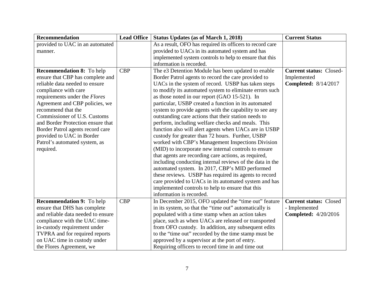| <b>Recommendation</b>              | <b>Lead Office</b> | <b>Status Updates (as of March 1, 2018)</b>               | <b>Current Status</b>          |
|------------------------------------|--------------------|-----------------------------------------------------------|--------------------------------|
| provided to UAC in an automated    |                    | As a result, OFO has required its officers to record care |                                |
| manner.                            |                    | provided to UACs in its automated system and has          |                                |
|                                    |                    | implemented system controls to help to ensure that this   |                                |
|                                    |                    | information is recorded.                                  |                                |
| <b>Recommendation 8:</b> To help   | <b>CBP</b>         | The e3 Detention Module has been updated to enable        | <b>Current status: Closed-</b> |
| ensure that CBP has complete and   |                    | Border Patrol agents to record the care provided to       | Implemented                    |
| reliable data needed to ensure     |                    | UACs in the system of record. USBP has taken steps        | <b>Completed:</b> 8/14/2017    |
| compliance with care               |                    | to modify its automated system to eliminate errors such   |                                |
| requirements under the Flores      |                    | as those noted in our report (GAO 15-521). In             |                                |
| Agreement and CBP policies, we     |                    | particular, USBP created a function in its automated      |                                |
| recommend that the                 |                    | system to provide agents with the capability to see any   |                                |
| Commissioner of U.S. Customs       |                    | outstanding care actions that their station needs to      |                                |
| and Border Protection ensure that  |                    | perform, including welfare checks and meals. This         |                                |
| Border Patrol agents record care   |                    | function also will alert agents when UACs are in USBP     |                                |
| provided to UAC in Border          |                    | custody for greater than 72 hours. Further, USBP          |                                |
| Patrol's automated system, as      |                    | worked with CBP's Management Inspections Division         |                                |
| required.                          |                    | (MID) to incorporate new internal controls to ensure      |                                |
|                                    |                    | that agents are recording care actions, as required,      |                                |
|                                    |                    | including conducting internal reviews of the data in the  |                                |
|                                    |                    | automated system. In 2017, CBP's MID performed            |                                |
|                                    |                    | these reviews. USBP has required its agents to record     |                                |
|                                    |                    | care provided to UACs in its automated system and has     |                                |
|                                    |                    | implemented controls to help to ensure that this          |                                |
|                                    |                    | information is recorded.                                  |                                |
| <b>Recommendation 9: To help</b>   | <b>CBP</b>         | In December 2015, OFO updated the "time out" feature      | <b>Current status: Closed</b>  |
| ensure that DHS has complete       |                    | in its system, so that the "time out" automatically is    | - Implemented                  |
| and reliable data needed to ensure |                    | populated with a time stamp when an action takes          | <b>Completed:</b> 4/20/2016    |
| compliance with the UAC time-      |                    | place, such as when UACs are released or transported      |                                |
| in-custody requirement under       |                    | from OFO custody. In addition, any subsequent edits       |                                |
| TVPRA and for required reports     |                    | to the "time out" recorded by the time stamp must be      |                                |
| on UAC time in custody under       |                    | approved by a supervisor at the port of entry.            |                                |
| the Flores Agreement, we           |                    | Requiring officers to record time in and time out         |                                |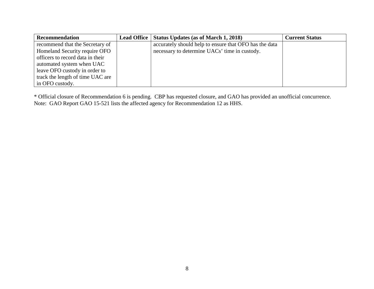| <b>Recommendation</b>            | Lead Office   Status Updates (as of March 1, 2018)     | <b>Current Status</b> |
|----------------------------------|--------------------------------------------------------|-----------------------|
| recommend that the Secretary of  | accurately should help to ensure that OFO has the data |                       |
| Homeland Security require OFO    | necessary to determine UACs' time in custody.          |                       |
| officers to record data in their |                                                        |                       |
| automated system when UAC        |                                                        |                       |
| leave OFO custody in order to    |                                                        |                       |
| track the length of time UAC are |                                                        |                       |
| in OFO custody.                  |                                                        |                       |

\* Official closure of Recommendation 6 is pending. CBP has requested closure, and GAO has provided an unofficial concurrence. Note: GAO Report GAO 15-521 lists the affected agency for Recommendation 12 as HHS.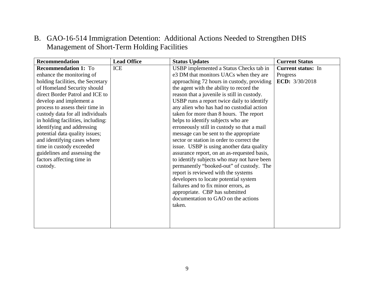B. GAO-16-514 Immigration Detention: Additional Actions Needed to Strengthen DHS Management of Short-Term Holding Facilities

<span id="page-12-0"></span>

| <b>Recommendation</b>             | <b>Lead Office</b> | <b>Status Updates</b>                       | <b>Current Status</b>     |
|-----------------------------------|--------------------|---------------------------------------------|---------------------------|
| <b>Recommendation 1: To</b>       | ICE                | USBP implemented a Status Checks tab in     | <b>Current status:</b> In |
| enhance the monitoring of         |                    | e3 DM that monitors UACs when they are      | Progress                  |
| holding facilities, the Secretary |                    | approaching 72 hours in custody, providing  | ECD: 3/30/2018            |
| of Homeland Security should       |                    | the agent with the ability to record the    |                           |
| direct Border Patrol and ICE to   |                    | reason that a juvenile is still in custody. |                           |
| develop and implement a           |                    | USBP runs a report twice daily to identify  |                           |
| process to assess their time in   |                    | any alien who has had no custodial action   |                           |
| custody data for all individuals  |                    | taken for more than 8 hours. The report     |                           |
| in holding facilities, including: |                    | helps to identify subjects who are          |                           |
| identifying and addressing        |                    | erroneously still in custody so that a mail |                           |
| potential data quality issues;    |                    | message can be sent to the appropriate      |                           |
| and identifying cases where       |                    | sector or station in order to correct the   |                           |
| time in custody exceeded          |                    | issue. USBP is using another data quality   |                           |
| guidelines and assessing the      |                    | assurance report, on an as-requested basis, |                           |
| factors affecting time in         |                    | to identify subjects who may not have been  |                           |
| custody.                          |                    | permanently "booked-out" of custody. The    |                           |
|                                   |                    | report is reviewed with the systems         |                           |
|                                   |                    | developers to locate potential system       |                           |
|                                   |                    | failures and to fix minor errors, as        |                           |
|                                   |                    | appropriate. CBP has submitted              |                           |
|                                   |                    | documentation to GAO on the actions         |                           |
|                                   |                    | taken.                                      |                           |
|                                   |                    |                                             |                           |
|                                   |                    |                                             |                           |
|                                   |                    |                                             |                           |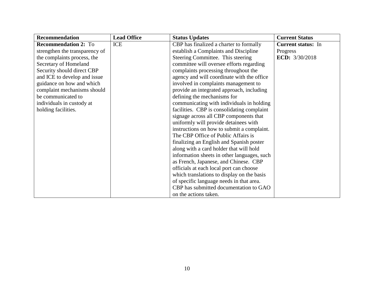| <b>Recommendation</b>          | <b>Lead Office</b> | <b>Status Updates</b>                       | <b>Current Status</b>     |
|--------------------------------|--------------------|---------------------------------------------|---------------------------|
| <b>Recommendation 2: To</b>    | <b>ICE</b>         | CBP has finalized a charter to formally     | <b>Current status:</b> In |
| strengthen the transparency of |                    | establish a Complaints and Discipline       | Progress                  |
| the complaints process, the    |                    | Steering Committee. This steering           | ECD: 3/30/2018            |
| Secretary of Homeland          |                    | committee will oversee efforts regarding    |                           |
| Security should direct CBP     |                    | complaints processing throughout the        |                           |
| and ICE to develop and issue   |                    | agency and will coordinate with the office  |                           |
| guidance on how and which      |                    | involved in complaints management to        |                           |
| complaint mechanisms should    |                    | provide an integrated approach, including   |                           |
| be communicated to             |                    | defining the mechanisms for                 |                           |
| individuals in custody at      |                    | communicating with individuals in holding   |                           |
| holding facilities.            |                    | facilities. CBP is consolidating complaint  |                           |
|                                |                    | signage across all CBP components that      |                           |
|                                |                    | uniformly will provide detainees with       |                           |
|                                |                    | instructions on how to submit a complaint.  |                           |
|                                |                    | The CBP Office of Public Affairs is         |                           |
|                                |                    | finalizing an English and Spanish poster    |                           |
|                                |                    | along with a card holder that will hold     |                           |
|                                |                    | information sheets in other languages, such |                           |
|                                |                    | as French, Japanese, and Chinese. CBP       |                           |
|                                |                    | officials at each local port can choose     |                           |
|                                |                    | which translations to display on the basis  |                           |
|                                |                    | of specific language needs in that area.    |                           |
|                                |                    | CBP has submitted documentation to GAO      |                           |
|                                |                    | on the actions taken.                       |                           |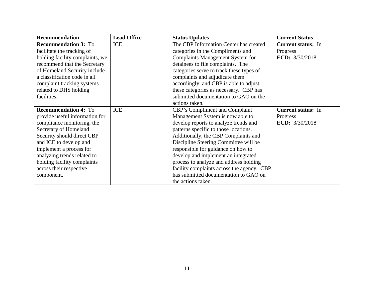| <b>Recommendation</b>           | <b>Lead Office</b> | <b>Status Updates</b>                      | <b>Current Status</b>     |
|---------------------------------|--------------------|--------------------------------------------|---------------------------|
| <b>Recommendation 3: To</b>     | ICE                | The CBP Information Center has created     | <b>Current status:</b> In |
| facilitate the tracking of      |                    | categories in the Compliments and          | Progress                  |
| holding facility complaints, we |                    | <b>Complaints Management System for</b>    | <b>ECD:</b> 3/30/2018     |
| recommend that the Secretary    |                    | detainees to file complaints. The          |                           |
| of Homeland Security include    |                    | categories serve to track these types of   |                           |
| a classification code in all    |                    | complaints and adjudicate them             |                           |
| complaint tracking systems      |                    | accordingly, and CBP is able to adjust     |                           |
| related to DHS holding          |                    | these categories as necessary. CBP has     |                           |
| facilities.                     |                    | submitted documentation to GAO on the      |                           |
|                                 |                    | actions taken.                             |                           |
| <b>Recommendation 4: To</b>     | <b>ICE</b>         | CBP's Compliment and Complaint             | <b>Current status:</b> In |
| provide useful information for  |                    | Management System is now able to           | Progress                  |
| compliance monitoring, the      |                    | develop reports to analyze trends and      | ECD: $3/30/2018$          |
| Secretary of Homeland           |                    | patterns specific to those locations.      |                           |
| Security should direct CBP      |                    | Additionally, the CBP Complaints and       |                           |
| and ICE to develop and          |                    | Discipline Steering Committee will be      |                           |
| implement a process for         |                    | responsible for guidance on how to         |                           |
| analyzing trends related to     |                    | develop and implement an integrated        |                           |
| holding facility complaints     |                    | process to analyze and address holding     |                           |
| across their respective         |                    | facility complaints across the agency. CBP |                           |
| component.                      |                    | has submitted documentation to GAO on      |                           |
|                                 |                    | the actions taken.                         |                           |